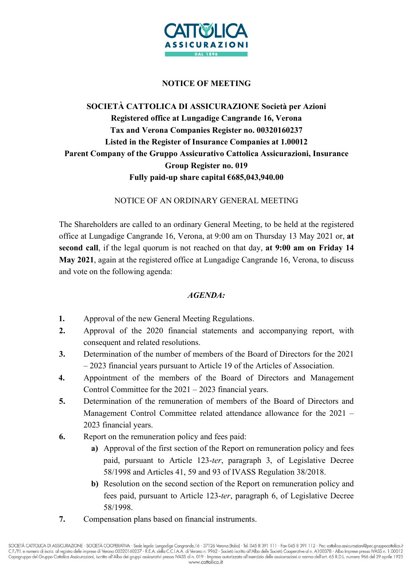

## NOTICE OF MEETING

## SOCIETÀ CATTOLICA DI ASSICURAZIONE Società per Azioni Registered office at Lungadige Cangrande 16, Verona Tax and Verona Companies Register no. 00320160237 Listed in the Register of Insurance Companies at 1.00012 Parent Company of the Gruppo Assicurativo Cattolica Assicurazioni, Insurance Group Register no. 019 Fully paid-up share capital €685,043,940.00

NOTICE OF AN ORDINARY GENERAL MEETING

The Shareholders are called to an ordinary General Meeting, to be held at the registered office at Lungadige Cangrande 16, Verona, at 9:00 am on Thursday 13 May 2021 or, at second call, if the legal quorum is not reached on that day, at 9:00 am on Friday 14 May 2021, again at the registered office at Lungadige Cangrande 16, Verona, to discuss and vote on the following agenda:

#### AGENDA:

- 1. Approval of the new General Meeting Regulations.
- 2. Approval of the 2020 financial statements and accompanying report, with consequent and related resolutions.
- 3. Determination of the number of members of the Board of Directors for the 2021 – 2023 financial years pursuant to Article 19 of the Articles of Association.
- 4. Appointment of the members of the Board of Directors and Management Control Committee for the 2021 – 2023 financial years.
- 5. Determination of the remuneration of members of the Board of Directors and Management Control Committee related attendance allowance for the 2021 – 2023 financial years.
- 6. Report on the remuneration policy and fees paid:
	- a) Approval of the first section of the Report on remuneration policy and fees paid, pursuant to Article 123-ter, paragraph 3, of Legislative Decree 58/1998 and Articles 41, 59 and 93 of IVASS Regulation 38/2018.
	- b) Resolution on the second section of the Report on remuneration policy and fees paid, pursuant to Article 123-ter, paragraph 6, of Legislative Decree 58/1998.
- 7. Compensation plans based on financial instruments.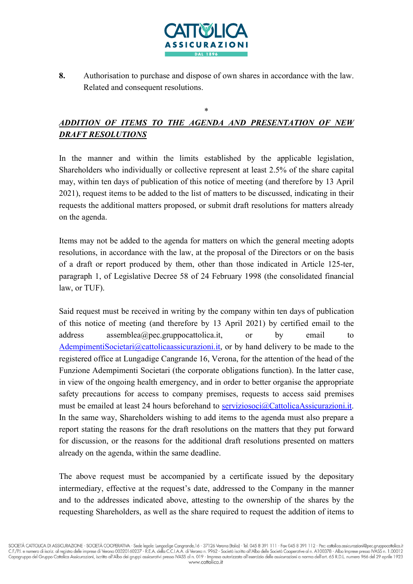

8. Authorisation to purchase and dispose of own shares in accordance with the law. Related and consequent resolutions.

# ADDITION OF ITEMS TO THE AGENDA AND PRESENTATION OF NEW DRAFT RESOLUTIONS

\*

In the manner and within the limits established by the applicable legislation, Shareholders who individually or collective represent at least 2.5% of the share capital may, within ten days of publication of this notice of meeting (and therefore by 13 April 2021), request items to be added to the list of matters to be discussed, indicating in their requests the additional matters proposed, or submit draft resolutions for matters already on the agenda.

Items may not be added to the agenda for matters on which the general meeting adopts resolutions, in accordance with the law, at the proposal of the Directors or on the basis of a draft or report produced by them, other than those indicated in Article 125-ter, paragraph 1, of Legislative Decree 58 of 24 February 1998 (the consolidated financial law, or TUF).

Said request must be received in writing by the company within ten days of publication of this notice of meeting (and therefore by 13 April 2021) by certified email to the address assemblea@pec.gruppocattolica.it, or by email to AdempimentiSocietari@cattolicaassicurazioni.it, or by hand delivery to be made to the registered office at Lungadige Cangrande 16, Verona, for the attention of the head of the Funzione Adempimenti Societari (the corporate obligations function). In the latter case, in view of the ongoing health emergency, and in order to better organise the appropriate safety precautions for access to company premises, requests to access said premises must be emailed at least 24 hours beforehand to serviziosoci@CattolicaAssicurazioni.it. In the same way, Shareholders wishing to add items to the agenda must also prepare a report stating the reasons for the draft resolutions on the matters that they put forward for discussion, or the reasons for the additional draft resolutions presented on matters already on the agenda, within the same deadline.

The above request must be accompanied by a certificate issued by the depositary intermediary, effective at the request's date, addressed to the Company in the manner and to the addresses indicated above, attesting to the ownership of the shares by the requesting Shareholders, as well as the share required to request the addition of items to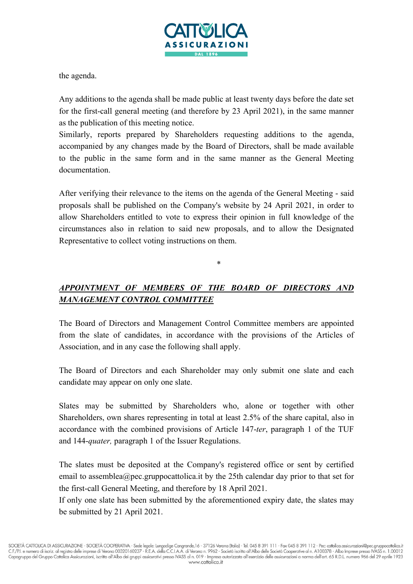

the agenda.

Any additions to the agenda shall be made public at least twenty days before the date set for the first-call general meeting (and therefore by 23 April 2021), in the same manner as the publication of this meeting notice.

Similarly, reports prepared by Shareholders requesting additions to the agenda, accompanied by any changes made by the Board of Directors, shall be made available to the public in the same form and in the same manner as the General Meeting documentation.

After verifying their relevance to the items on the agenda of the General Meeting - said proposals shall be published on the Company's website by 24 April 2021, in order to allow Shareholders entitled to vote to express their opinion in full knowledge of the circumstances also in relation to said new proposals, and to allow the Designated Representative to collect voting instructions on them.

## APPOINTMENT OF MEMBERS OF THE BOARD OF DIRECTORS AND MANAGEMENT CONTROL COMMITTEE

\*

The Board of Directors and Management Control Committee members are appointed from the slate of candidates, in accordance with the provisions of the Articles of Association, and in any case the following shall apply.

The Board of Directors and each Shareholder may only submit one slate and each candidate may appear on only one slate.

Slates may be submitted by Shareholders who, alone or together with other Shareholders, own shares representing in total at least 2.5% of the share capital, also in accordance with the combined provisions of Article 147-ter, paragraph 1 of the TUF and 144-*quater*, paragraph 1 of the Issuer Regulations.

The slates must be deposited at the Company's registered office or sent by certified email to assemblea@pec.gruppocattolica.it by the 25th calendar day prior to that set for the first-call General Meeting, and therefore by 18 April 2021.

If only one slate has been submitted by the aforementioned expiry date, the slates may be submitted by 21 April 2021.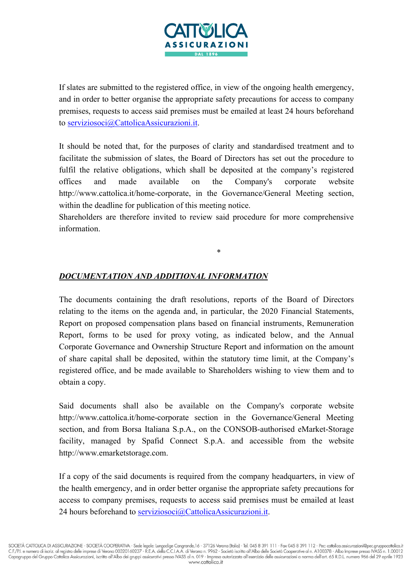

If slates are submitted to the registered office, in view of the ongoing health emergency, and in order to better organise the appropriate safety precautions for access to company premises, requests to access said premises must be emailed at least 24 hours beforehand to serviziosoci@CattolicaAssicurazioni.it.

It should be noted that, for the purposes of clarity and standardised treatment and to facilitate the submission of slates, the Board of Directors has set out the procedure to fulfil the relative obligations, which shall be deposited at the company's registered offices and made available on the Company's corporate website http://www.cattolica.it/home-corporate, in the Governance/General Meeting section, within the deadline for publication of this meeting notice.

Shareholders are therefore invited to review said procedure for more comprehensive information.

\*

## DOCUMENTATION AND ADDITIONAL INFORMATION

The documents containing the draft resolutions, reports of the Board of Directors relating to the items on the agenda and, in particular, the 2020 Financial Statements, Report on proposed compensation plans based on financial instruments, Remuneration Report, forms to be used for proxy voting, as indicated below, and the Annual Corporate Governance and Ownership Structure Report and information on the amount of share capital shall be deposited, within the statutory time limit, at the Company's registered office, and be made available to Shareholders wishing to view them and to obtain a copy.

Said documents shall also be available on the Company's corporate website http://www.cattolica.it/home-corporate section in the Governance/General Meeting section, and from Borsa Italiana S.p.A., on the CONSOB-authorised eMarket-Storage facility, managed by Spafid Connect S.p.A. and accessible from the website http://www.emarketstorage.com.

If a copy of the said documents is required from the company headquarters, in view of the health emergency, and in order better organise the appropriate safety precautions for access to company premises, requests to access said premises must be emailed at least 24 hours beforehand to serviziosoci@CattolicaAssicurazioni.it.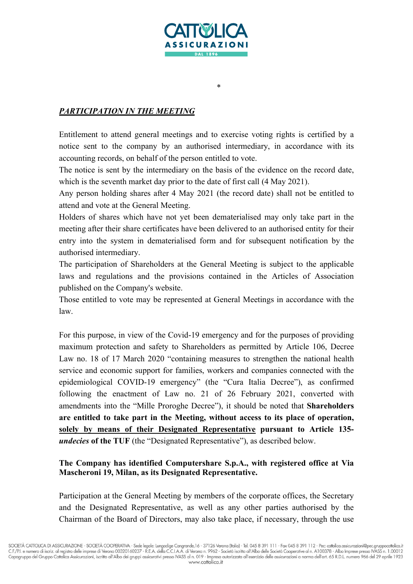

\*

## PARTICIPATION IN THE MEETING

Entitlement to attend general meetings and to exercise voting rights is certified by a notice sent to the company by an authorised intermediary, in accordance with its accounting records, on behalf of the person entitled to vote.

The notice is sent by the intermediary on the basis of the evidence on the record date, which is the seventh market day prior to the date of first call (4 May 2021).

Any person holding shares after 4 May 2021 (the record date) shall not be entitled to attend and vote at the General Meeting.

Holders of shares which have not yet been dematerialised may only take part in the meeting after their share certificates have been delivered to an authorised entity for their entry into the system in dematerialised form and for subsequent notification by the authorised intermediary.

The participation of Shareholders at the General Meeting is subject to the applicable laws and regulations and the provisions contained in the Articles of Association published on the Company's website.

Those entitled to vote may be represented at General Meetings in accordance with the law.

For this purpose, in view of the Covid-19 emergency and for the purposes of providing maximum protection and safety to Shareholders as permitted by Article 106, Decree Law no. 18 of 17 March 2020 "containing measures to strengthen the national health service and economic support for families, workers and companies connected with the epidemiological COVID-19 emergency" (the "Cura Italia Decree"), as confirmed following the enactment of Law no. 21 of 26 February 2021, converted with amendments into the "Mille Proroghe Decree"), it should be noted that Shareholders are entitled to take part in the Meeting, without access to its place of operation, solely by means of their Designated Representative pursuant to Article 135 undecies of the TUF (the "Designated Representative"), as described below.

### The Company has identified Computershare S.p.A., with registered office at Via Mascheroni 19, Milan, as its Designated Representative.

Participation at the General Meeting by members of the corporate offices, the Secretary and the Designated Representative, as well as any other parties authorised by the Chairman of the Board of Directors, may also take place, if necessary, through the use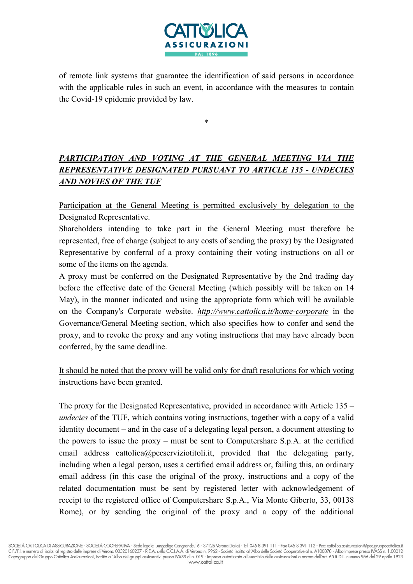

of remote link systems that guarantee the identification of said persons in accordance with the applicable rules in such an event, in accordance with the measures to contain the Covid-19 epidemic provided by law.

\*

PARTICIPATION AND VOTING AT THE GENERAL MEETING VIA THE REPRESENTATIVE DESIGNATED PURSUANT TO ARTICLE 135 - UNDECIES AND NOVIES OF THE TUF

Participation at the General Meeting is permitted exclusively by delegation to the Designated Representative.

Shareholders intending to take part in the General Meeting must therefore be represented, free of charge (subject to any costs of sending the proxy) by the Designated Representative by conferral of a proxy containing their voting instructions on all or some of the items on the agenda.

A proxy must be conferred on the Designated Representative by the 2nd trading day before the effective date of the General Meeting (which possibly will be taken on 14 May), in the manner indicated and using the appropriate form which will be available on the Company's Corporate website. http://www.cattolica.it/home-corporate in the Governance/General Meeting section, which also specifies how to confer and send the proxy, and to revoke the proxy and any voting instructions that may have already been conferred, by the same deadline.

It should be noted that the proxy will be valid only for draft resolutions for which voting instructions have been granted.

The proxy for the Designated Representative, provided in accordance with Article 135 – undecies of the TUF, which contains voting instructions, together with a copy of a valid identity document – and in the case of a delegating legal person, a document attesting to the powers to issue the proxy – must be sent to Computershare S.p.A. at the certified email address cattolica@pecserviziotitoli.it, provided that the delegating party, including when a legal person, uses a certified email address or, failing this, an ordinary email address (in this case the original of the proxy, instructions and a copy of the related documentation must be sent by registered letter with acknowledgement of receipt to the registered office of Computershare S.p.A., Via Monte Giberto, 33, 00138 Rome), or by sending the original of the proxy and a copy of the additional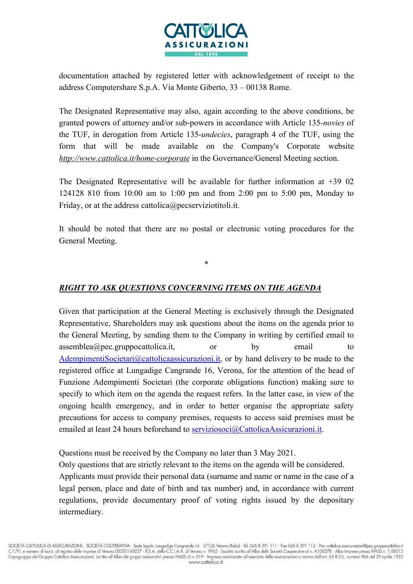

documentation attached by registered letter with acknowledgement of receipt to the address Computershare S.p.A. Via Monte Giberto, 33 – 00138 Rome.

The Designated Representative may also, again according to the above conditions, be granted powers of attorney and/or sub-powers in accordance with Article 135-novies of the TUF, in derogation from Article 135-undecies, paragraph 4 of the TUF, using the form that will be made available on the Company's Corporate website http://www.cattolica.it/home-corporate in the Governance/General Meeting section.

The Designated Representative will be available for further information at +39 02 124128 810 from 10:00 am to 1:00 pm and from 2:00 pm to 5:00 pm, Monday to Friday, or at the address cattolica@pecserviziotitoli.it.

It should be noted that there are no postal or electronic voting procedures for the General Meeting.

\*

### RIGHT TO ASK QUESTIONS CONCERNING ITEMS ON THE AGENDA

Given that participation at the General Meeting is exclusively through the Designated Representative, Shareholders may ask questions about the items on the agenda prior to the General Meeting, by sending them to the Company in writing by certified email to  $assemblea(\omega)$  pec.gruppocattolica.it,  $\qquad or \qquad by \qquad email \qquad to$ AdempimentiSocietari@cattolicaassicurazioni.it, or by hand delivery to be made to the registered office at Lungadige Cangrande 16, Verona, for the attention of the head of Funzione Adempimenti Societari (the corporate obligations function) making sure to specify to which item on the agenda the request refers. In the latter case, in view of the ongoing health emergency, and in order to better organise the appropriate safety precautions for access to company premises, requests to access said premises must be emailed at least 24 hours beforehand to serviziosoci@CattolicaAssicurazioni.it.

Questions must be received by the Company no later than 3 May 2021.

Only questions that are strictly relevant to the items on the agenda will be considered. Applicants must provide their personal data (surname and name or name in the case of a legal person, place and date of birth and tax number) and, in accordance with current regulations, provide documentary proof of voting rights issued by the depositary intermediary.